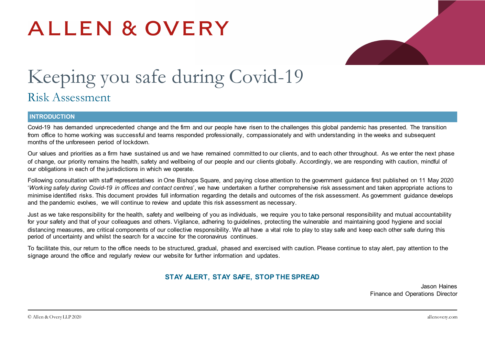# ALLEN & OVERY



# Keeping you safe during Covid-19 Risk Assessment

#### **INTRODUCTION**

Covid-19 has demanded unprecedented change and the firm and our people have risen to the challenges this global pandemic has presented. The transition from office to home working was successful and teams responded professionally, compassionately and with understanding in the weeks and subsequent months of the unforeseen period of lockdown.

Our values and priorities as a firm have sustained us and we have remained committed to our clients, and to each other throughout. As we enter the next phase of change, our priority remains the health, safety and wellbeing of our people and our clients globally. Accordingly, we are responding with caution, mindful of our obligations in each of the jurisdictions in which we operate.

Following consultation with staff representatives in One Bishops Square, and paying close attention to the government guidance first published on 11 May 2020 '*Working safely during Covid-19 in offices and contact centres*', we have undertaken a further comprehensive risk assessment and taken appropriate actions to minimise identified risks. This document provides full information regarding the details and outcomes of the risk assessment. As government guidance develops and the pandemic evolves, we will continue to review and update this risk assessment as necessary.

Just as we take responsibility for the health, safety and wellbeing of you as individuals, we require you to take personal responsibility and mutual accountability for your safety and that of your colleagues and others. Vigilance, adhering to guidelines, protecting the vulnerable and maintaining good hygiene and social distancing measures, are critical components of our collective responsibility. We all have a vital role to play to stay safe and keep each other safe during this period of uncertainty and whilst the search for a vaccine for the coronavirus continues.

To facilitate this, our return to the office needs to be structured, gradual, phased and exercised with caution. Please continue to stay alert, pay attention to the signage around the office and regularly review our website for further information and updates.

## **STAY ALERT, STAY SAFE, STOP THE SPREAD**

Jason Haines Finance and Operations Director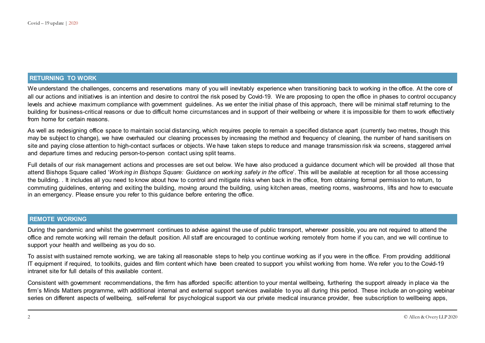#### **RETURNING TO WORK**

We understand the challenges, concerns and reservations many of you will inevitably experience when transitioning back to working in the office. At the core of all our actions and initiatives is an intention and desire to control the risk posed by Covid-19. We are proposing to open the office in phases to control occupancy levels and achieve maximum compliance with government guidelines. As we enter the initial phase of this approach, there will be minimal staff returning to the building for business-critical reasons or due to difficult home circumstances and in support of their wellbeing or where it is impossible for them to work effectively from home for certain reasons.

As well as redesigning office space to maintain social distancing, which requires people to remain a specified distance apart (currently two metres, though this may be subject to change), we have overhauled our cleaning processes by increasing the method and frequency of cleaning, the number of hand sanitisers on site and paying close attention to high-contact surfaces or objects. We have taken steps to reduce and manage transmission risk via screens, staggered arrival and departure times and reducing person-to-person contact using split teams.

Full details of our risk management actions and processes are set out below. We have also produced a guidance document which will be provided all those that attend Bishops Square called '*Working in Bishops Square: Guidance on working safely in the office*'. This will be available at reception for all those accessing the building. . It includes all you need to know about how to control and mitigate risks when back in the office, from obtaining formal permission to return, to commuting guidelines, entering and exiting the building, moving around the building, using kitchen areas, meeting rooms, washrooms, lifts and how to evacuate in an emergency. Please ensure you refer to this guidance before entering the office.

#### **REMOTE WORKING**

During the pandemic and whilst the government continues to advise against the use of public transport, wherever possible, you are not required to attend the office and remote working will remain the default position. All staff are encouraged to continue working remotely from home if you can, and we will continue to support your health and wellbeing as you do so.

To assist with sustained remote working, we are taking all reasonable steps to help you continue working as if you were in the office. From providing additional IT equipment if required, to toolkits, guides and film content which have been created to support you whilst working from home. We refer you to the Covid-19 intranet site for full details of this available content.

Consistent with government recommendations, the firm has afforded specific attention to your mental wellbeing, furthering the support already in place via the firm's Minds Matters programme, with additional internal and external support services available to you all during this period. These include an on-going webinar series on different aspects of wellbeing, self-referral for psychological support via our private medical insurance provider, free subscription to wellbeing apps,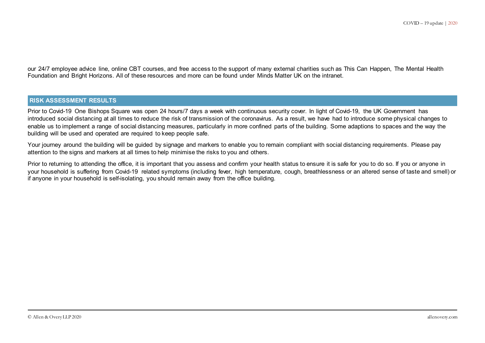our 24/7 employee advice line, online CBT courses, and free access to the support of many external charities such as This Can Happen, The Mental Health Foundation and Bright Horizons. All of these resources and more can be found under Minds Matter UK on the intranet.

#### **RISK ASSESSMENT RESULTS**

Prior to Covid-19 One Bishops Square was open 24 hours/7 days a week with continuous security cover. In light of Covid-19, the UK Government has introduced social distancing at all times to reduce the risk of transmission of the coronavirus. As a result, we have had to introduce some physical changes to enable us to implement a range of social distancing measures, particularly in more confined parts of the building. Some adaptions to spaces and the way the building will be used and operated are required to keep people safe.

Your journey around the building will be guided by signage and markers to enable you to remain compliant with social distancing requirements. Please pay attention to the signs and markers at all times to help minimise the risks to you and others.

Prior to returning to attending the office, it is important that you assess and confirm your health status to ensure it is safe for you to do so. If you or anyone in your household is suffering from Covid-19 related symptoms (including fever, high temperature, cough, breathlessness or an altered sense of taste and smell) or if anyone in your household is self-isolating, you should remain away from the office building.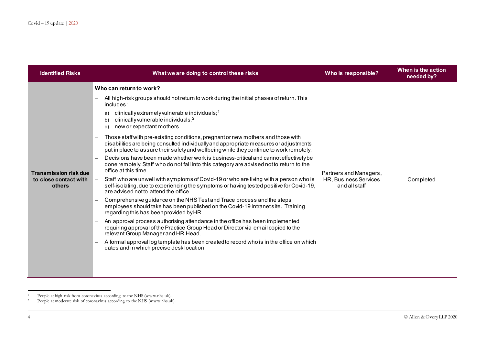<span id="page-3-1"></span><span id="page-3-0"></span>

| <b>Identified Risks</b>                                         | What we are doing to control these risks                                                                                                                                                                                                                                                                                                                                                                                                                                                                                                                                                                                                                                                                                                                                                                                                                                                                                                                                                                                                                                                                                                                                                                                                                                                                                                                                                                                                                                                                                                                                         | Who is responsible?                                              | When is the action<br>needed by? |
|-----------------------------------------------------------------|----------------------------------------------------------------------------------------------------------------------------------------------------------------------------------------------------------------------------------------------------------------------------------------------------------------------------------------------------------------------------------------------------------------------------------------------------------------------------------------------------------------------------------------------------------------------------------------------------------------------------------------------------------------------------------------------------------------------------------------------------------------------------------------------------------------------------------------------------------------------------------------------------------------------------------------------------------------------------------------------------------------------------------------------------------------------------------------------------------------------------------------------------------------------------------------------------------------------------------------------------------------------------------------------------------------------------------------------------------------------------------------------------------------------------------------------------------------------------------------------------------------------------------------------------------------------------------|------------------------------------------------------------------|----------------------------------|
| <b>Transmission risk due</b><br>to close contact with<br>others | Who can return to work?<br>All high-risk groups should not return to work during the initial phases of return. This<br>includes:<br>$clinically extremely vulnerable$ individuals; <sup>1</sup><br>a)<br>clinically vulnerable individuals; <sup>2</sup><br>b)<br>new or expectant mothers<br>C)<br>Those staff with pre-existing conditions, pregnant or new mothers and those with<br>disabilities are being consulted individually and appropriate measures or adjustments<br>put in place to assure their safety and wellbeing while they continue to work remotely.<br>Decisions have been made whether work is business-critical and cannot effectively be<br>done remotely. Staff who do not fall into this category are advised not to return to the<br>office at this time.<br>Staff who are unwell with symptoms of Covid-19 or who are living with a person who is<br>self-isolating, due to experiencing the symptoms or having tested positive for Covid-19,<br>are advised not to attend the office.<br>Comprehensive guidance on the NHS Test and Trace process and the steps<br>employees should take has been published on the Covid-19 intranet site. Training<br>regarding this has been provided by HR.<br>An approval process authorising attendance in the office has been implemented<br>requiring approval of the Practice Group Head or Director via email copied to the<br>relevant Group Manager and HR Head.<br>A formal approval log template has been created to record who is in the office on which<br>dates and in which precise desk location. | Partners and Managers,<br>HR, Business Services<br>and all staff | Completed                        |

 $\mathbf{1}^-$ <sup>1</sup> People at high risk from coronavirus according to the NHS (www.nhs.uk).

<sup>&</sup>lt;sup>2</sup> People at moderate risk of coronavirus according to the NHS (www.nhs.uk).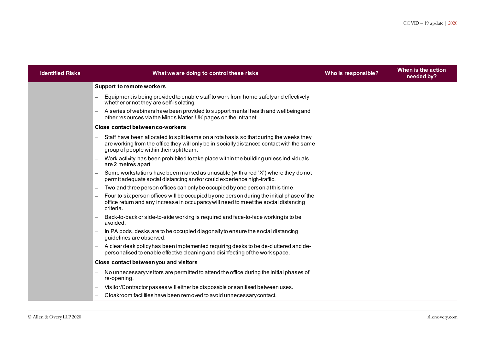| <b>Identified Risks</b> | What we are doing to control these risks                                                                                                                                                                                        | Who is responsible? | When is the action<br>needed by? |
|-------------------------|---------------------------------------------------------------------------------------------------------------------------------------------------------------------------------------------------------------------------------|---------------------|----------------------------------|
|                         | <b>Support to remote workers</b>                                                                                                                                                                                                |                     |                                  |
|                         | Equipment is being provided to enable staff to work from home safely and effectively<br>whether or not they are self-isolating.                                                                                                 |                     |                                  |
|                         | A series of webinars have been provided to support mental health and wellbeing and<br>$-$<br>other resources via the Minds Matter UK pages on the intranet.                                                                     |                     |                                  |
|                         | Close contact between co-workers                                                                                                                                                                                                |                     |                                  |
|                         | Staff have been allocated to split teams on a rota basis so that during the weeks they<br>are working from the office they will only be in socially distanced contact with the same<br>group of people within their split team. |                     |                                  |
|                         | Work activity has been prohibited to take place within the building unless individuals<br>are 2 metres apart.                                                                                                                   |                     |                                  |
|                         | Some workstations have been marked as unusable (with a red "X") where they do not<br>permit adequate social distancing and/or could experience high-traffic.                                                                    |                     |                                  |
|                         | Two and three person offices can only be occupied by one person at this time.<br>$\overline{\phantom{0}}$                                                                                                                       |                     |                                  |
|                         | Four to six person offices will be occupied byone person during the initial phase of the<br>office return and any increase in occupancy will need to meet the social distancing<br>criteria.                                    |                     |                                  |
|                         | Back-to-back or side-to-side working is required and face-to-face working is to be<br>avoided.                                                                                                                                  |                     |                                  |
|                         | In PA pods, desks are to be occupied diagonally to ensure the social distancing<br>guidelines are observed.                                                                                                                     |                     |                                  |
|                         | A clear desk policy has been implemented requiring desks to be de-cluttered and de-<br>personalised to enable effective cleaning and disinfecting of the work space.                                                            |                     |                                  |
|                         | Close contact between you and visitors                                                                                                                                                                                          |                     |                                  |
|                         | No unnecessary visitors are permitted to attend the office during the initial phases of<br>re-opening.                                                                                                                          |                     |                                  |
|                         | Visitor/Contractor passes will either be disposable or sanitised between uses.                                                                                                                                                  |                     |                                  |
|                         | Cloakroom facilities have been removed to avoid unnecessary contact.                                                                                                                                                            |                     |                                  |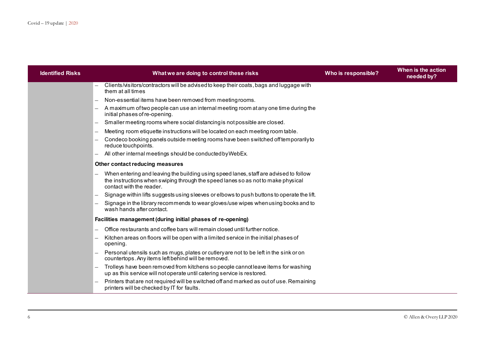| <b>Identified Risks</b> | What we are doing to control these risks                                                                                                                                                              | Who is responsible? | When is the action<br>needed by? |
|-------------------------|-------------------------------------------------------------------------------------------------------------------------------------------------------------------------------------------------------|---------------------|----------------------------------|
|                         | Clients/visitors/contractors will be advised to keep their coats, bags and luggage with<br>them at all times                                                                                          |                     |                                  |
|                         | Non-essential items have been removed from meeting rooms.                                                                                                                                             |                     |                                  |
|                         | A maximum of two people can use an internal meeting room at any one time during the<br>$\qquad \qquad -$<br>initial phases of re-opening.                                                             |                     |                                  |
|                         | Smaller meeting rooms where social distancing is not possible are closed.                                                                                                                             |                     |                                  |
|                         | Meeting room etiquette instructions will be located on each meeting room table.                                                                                                                       |                     |                                  |
|                         | Condeco booking panels outside meeting rooms have been switched off temporarily to<br>reduce touchpoints.                                                                                             |                     |                                  |
|                         | All other internal meetings should be conducted by WebEx.                                                                                                                                             |                     |                                  |
|                         | Other contact reducing measures                                                                                                                                                                       |                     |                                  |
|                         | When entering and leaving the building using speed lanes, staff are advised to follow<br>the instructions when swiping through the speed lanes so as not to make physical<br>contact with the reader. |                     |                                  |
|                         | Signage within lifts suggests using sleeves or elbows to push buttons to operate the lift.                                                                                                            |                     |                                  |
|                         | Signage in the library recommends to wear gloves/use wipes when using books and to<br>wash hands after contact.                                                                                       |                     |                                  |
|                         | Facilities management (during initial phases of re-opening)                                                                                                                                           |                     |                                  |
|                         | Office restaurants and coffee bars will remain closed until further notice.                                                                                                                           |                     |                                  |
|                         | Kitchen areas on floors will be open with a limited service in the initial phases of<br>opening.                                                                                                      |                     |                                  |
|                         | Personal utensils such as mugs, plates or cutlery are not to be left in the sink or on<br>countertops. Any items left behind will be removed.                                                         |                     |                                  |
|                         | Trolleys have been removed from kitchens so people cannot leave items for washing<br>up as this service will not operate until catering service is restored.                                          |                     |                                  |
|                         | Printers that are not required will be switched off and marked as out of use. Remaining<br>printers will be checked by IT for faults.                                                                 |                     |                                  |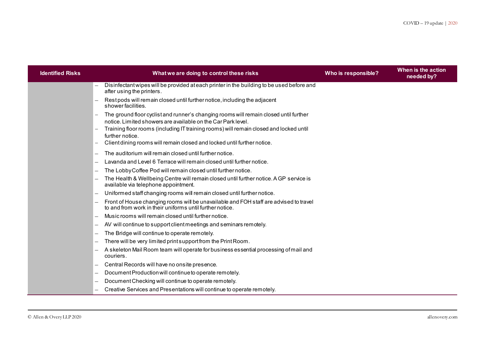| <b>Identified Risks</b> | What we are doing to control these risks                                                                                                                                                                                                        | Who is responsible? | When is the action<br>needed by? |
|-------------------------|-------------------------------------------------------------------------------------------------------------------------------------------------------------------------------------------------------------------------------------------------|---------------------|----------------------------------|
|                         | Disinfectant wipes will be provided at each printer in the building to be used before and<br>after using the printers.                                                                                                                          |                     |                                  |
|                         | Rest pods will remain closed until further notice, including the adjacent<br>shower facilities.                                                                                                                                                 |                     |                                  |
|                         | The ground floor cyclist and runner's changing rooms will remain closed until further<br>notice. Limited showers are available on the Car Park level.<br>Training floor rooms (including IT training rooms) will remain closed and locked until |                     |                                  |
|                         | further notice.<br>Client dining rooms will remain closed and locked until further notice.                                                                                                                                                      |                     |                                  |
|                         | The auditorium will remain closed until further notice.                                                                                                                                                                                         |                     |                                  |
|                         | Lavanda and Level 6 Terrace will remain closed until further notice.                                                                                                                                                                            |                     |                                  |
|                         | The Lobby Coffee Pod will remain closed until further notice.                                                                                                                                                                                   |                     |                                  |
|                         | The Health & Wellbeing Centre will remain closed until further notice. A GP service is<br>available via telephone appointment.                                                                                                                  |                     |                                  |
|                         | Uniformed staff changing rooms will remain closed until further notice.                                                                                                                                                                         |                     |                                  |
|                         | Front of House changing rooms will be unavailable and FOH staff are advised to travel<br>to and from work in their uniforms until further notice.                                                                                               |                     |                                  |
|                         | Music rooms will remain closed until further notice.                                                                                                                                                                                            |                     |                                  |
|                         | AV will continue to support client meetings and seminars remotely.                                                                                                                                                                              |                     |                                  |
|                         | The Bridge will continue to operate remotely.                                                                                                                                                                                                   |                     |                                  |
|                         | There will be very limited print support from the Print Room.                                                                                                                                                                                   |                     |                                  |
|                         | A skeleton Mail Room team will operate for business essential processing of mail and<br>couriers.                                                                                                                                               |                     |                                  |
|                         | Central Records will have no onsite presence.                                                                                                                                                                                                   |                     |                                  |
|                         | Document Production will continue to operate remotely.                                                                                                                                                                                          |                     |                                  |
|                         | Document Checking will continue to operate remotely.                                                                                                                                                                                            |                     |                                  |
|                         | Creative Services and Presentations will continue to operate remotely.                                                                                                                                                                          |                     |                                  |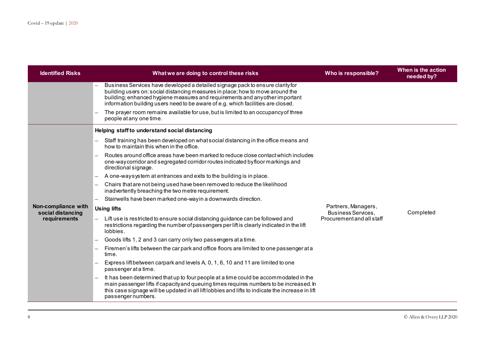| <b>Identified Risks</b>                  | What we are doing to control these risks                                                                                                                                                                                                                                                                                             | Who is responsible?                                                           | When is the action<br>needed by? |
|------------------------------------------|--------------------------------------------------------------------------------------------------------------------------------------------------------------------------------------------------------------------------------------------------------------------------------------------------------------------------------------|-------------------------------------------------------------------------------|----------------------------------|
|                                          | Business Services have developed a detailed signage pack to ensure clarity for<br>building users on: social distancing measures in place; how to move around the<br>building; enhanced hygiene measures and requirements and any other important<br>information building users need to be aware of e.g. which facilities are closed. |                                                                               |                                  |
|                                          | The prayer room remains available for use, but is limited to an occupancy of three<br>people at any one time.                                                                                                                                                                                                                        |                                                                               |                                  |
|                                          | Helping staff to understand social distancing                                                                                                                                                                                                                                                                                        |                                                                               |                                  |
|                                          | Staff training has been developed on what social distancing in the office means and<br>how to maintain this when in the office.                                                                                                                                                                                                      |                                                                               | Completed                        |
|                                          | Routes around office areas have been marked to reduce close contact which includes<br>one-way corridor and segregated corridor routes indicated by floor markings and<br>directional signage.                                                                                                                                        | Partners, Managers,<br><b>Business Services,</b><br>Procurement and all staff |                                  |
|                                          | A one-waysystem at entrances and exits to the building is in place.                                                                                                                                                                                                                                                                  |                                                                               |                                  |
|                                          | Chairs that are not being used have been removed to reduce the likelihood<br>inadvertently breaching the two metre requirement.                                                                                                                                                                                                      |                                                                               |                                  |
|                                          | Stairwells have been marked one-way in a downwards direction.                                                                                                                                                                                                                                                                        |                                                                               |                                  |
| Non-compliance with<br>social distancing | <b>Using lifts</b>                                                                                                                                                                                                                                                                                                                   |                                                                               |                                  |
| requirements                             | Lift use is restricted to ensure social distancing guidance can be followed and<br>restrictions regarding the number of passengers per lift is clearly indicated in the lift<br>lobbies.                                                                                                                                             |                                                                               |                                  |
|                                          | Goods lifts 1, 2 and 3 can carry only two passengers at a time.                                                                                                                                                                                                                                                                      |                                                                               |                                  |
|                                          | Firemen's lifts between the car park and office floors are limited to one passenger at a<br>time.                                                                                                                                                                                                                                    |                                                                               |                                  |
|                                          | Express lift between carpark and levels A, 0, 1, 6, 10 and 11 are limited to one<br>passenger at a time.                                                                                                                                                                                                                             |                                                                               |                                  |
|                                          | It has been determined that up to four people at a time could be accommodated in the<br>main passenger lifts if capacity and queuing times requires numbers to be increased. In<br>this case signage will be updated in all lift lobbies and lifts to indicate the increase in lift<br>passenger numbers.                            |                                                                               |                                  |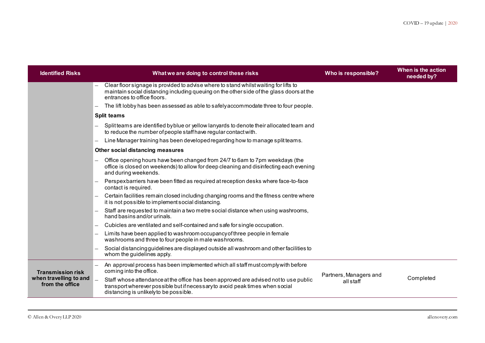| <b>Identified Risks</b>                   | What we are doing to control these risks                                                                                                                                                                        | Who is responsible?    | When is the action<br>needed by? |
|-------------------------------------------|-----------------------------------------------------------------------------------------------------------------------------------------------------------------------------------------------------------------|------------------------|----------------------------------|
|                                           | Clear floor signage is provided to advise where to stand whilst waiting for lifts to<br>maintain social distanding including queuing on the other side of the glass doors at the<br>entrances to office floors. |                        |                                  |
|                                           | The lift lobby has been assessed as able to safely accommodate three to four people.                                                                                                                            |                        |                                  |
|                                           | <b>Split teams</b>                                                                                                                                                                                              |                        |                                  |
|                                           | Split teams are identified by blue or yellow lanyards to denote their allocated team and<br>to reduce the number of people staff have regular contact with.                                                     |                        |                                  |
|                                           | Line Manager training has been developed regarding how to manage split teams.<br>$\overline{\phantom{0}}$                                                                                                       |                        |                                  |
|                                           | Other social distancing measures                                                                                                                                                                                |                        |                                  |
|                                           | Office opening hours have been changed from 24/7 to 6am to 7pm weekdays (the<br>office is closed on weekends) to allow for deep cleaning and disinfecting each evening<br>and during weekends.                  |                        |                                  |
|                                           | Perspexbarriers have been fitted as required at reception desks where face-to-face<br>contact is required.                                                                                                      |                        |                                  |
|                                           | Certain facilities remain closed including changing rooms and the fitness centre where<br>it is not possible to implement social distancing.                                                                    |                        |                                  |
|                                           | Staff are requested to maintain a two metre social distance when using washrooms,<br>hand basins and/or urinals.                                                                                                |                        |                                  |
|                                           | Cubicles are ventilated and self-contained and safe for single occupation.                                                                                                                                      |                        |                                  |
|                                           | Limits have been applied to washroom occupancy of three people in female<br>washrooms and three to four people in male washrooms.                                                                               |                        |                                  |
|                                           | Social distancing guidelines are displayed outside all washroom and other facilities to<br>whom the guidelines apply.                                                                                           |                        |                                  |
| <b>Transmission risk</b>                  | An approval process has been implemented which all staff must comply with before<br>coming into the office.                                                                                                     | Partners, Managers and |                                  |
| when travelling to and<br>from the office | Staff whose attendance at the office has been approved are advised not to use public<br>transport wherever possible but if necessary to avoid peak times when social<br>distancing is unlikely to be possible.  | all staff              | Completed                        |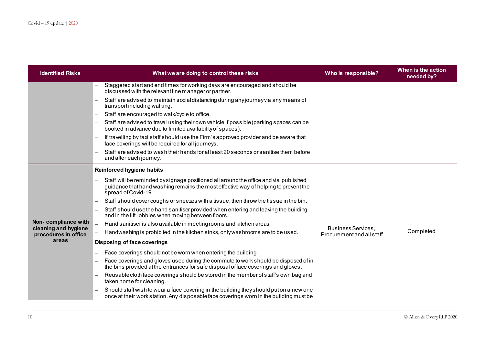| <b>Identified Risks</b>                     | What we are doing to control these risks                                                                                                                                                            | Who is responsible?       | When is the action<br>needed by? |
|---------------------------------------------|-----------------------------------------------------------------------------------------------------------------------------------------------------------------------------------------------------|---------------------------|----------------------------------|
|                                             | Staggered start and end times for working days are encouraged and should be<br>discussed with the relevant line manager or partner.                                                                 |                           |                                  |
|                                             | Staff are advised to maintain social distancing during any journey via any means of<br>transport including walking.                                                                                 |                           |                                  |
|                                             | Staff are encouraged to walk/cycle to office.<br>$\equiv$                                                                                                                                           |                           |                                  |
|                                             | Staff are advised to travel using their own vehicle if possible (parking spaces can be<br>$-$<br>booked in advance due to limited availability of spaces).                                          |                           |                                  |
|                                             | If travelling by taxi staff should use the Firm's approved provider and be aware that<br>face coverings will be required for all journeys.                                                          |                           |                                  |
|                                             | Staff are advised to wash their hands for at least 20 seconds or sanitise them before<br>and after each journey.                                                                                    |                           |                                  |
|                                             | Reinforced hygiene habits                                                                                                                                                                           |                           |                                  |
|                                             | Staff will be reminded by signage positioned all around the office and via published<br>guidance that hand was hing remains the most effective way of helping to prevent the<br>spread of Covid-19. |                           |                                  |
|                                             | Staff should cover coughs or sneezes with a tissue, then throw the tissue in the bin.                                                                                                               |                           |                                  |
|                                             | Staff should use the hand sanitiser provided when entering and leaving the building<br>and in the lift lobbies when moving between floors.                                                          |                           |                                  |
| Non-compliance with<br>cleaning and hygiene | Hand sanitiser is also available in meeting rooms and kitchen areas.                                                                                                                                | <b>Business Services</b>  |                                  |
| procedures in office                        | Handwashing is prohibited in the kitchen sinks, onlywashrooms are to be used.                                                                                                                       | Procurement and all staff | Completed                        |
| areas                                       | Disposing of face coverings                                                                                                                                                                         |                           |                                  |
|                                             | Face coverings should not be worn when entering the building.                                                                                                                                       |                           |                                  |
|                                             | Face coverings and gloves used during the commute to work should be disposed of in<br>the bins provided at the entrances for safe disposal of face coverings and gloves.                            |                           |                                  |
|                                             | Reusable cloth face coverings should be stored in the member of staff's own bag and<br>taken home for cleaning.                                                                                     |                           |                                  |
|                                             | Should staff wish to wear a face covering in the building they should put on a new one<br>once at their work station. Any disposable face coverings worn in the building must be                    |                           |                                  |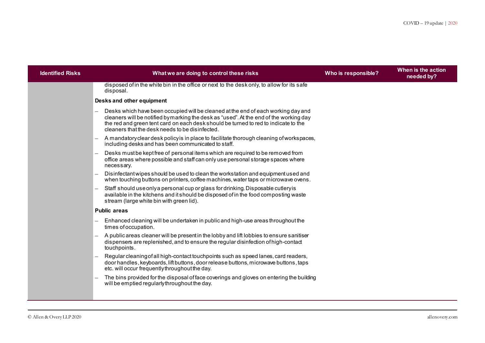| <b>Identified Risks</b> | What we are doing to control these risks                                                                                                                                                                                                                                                                              | Who is responsible? | When is the action<br>needed by? |
|-------------------------|-----------------------------------------------------------------------------------------------------------------------------------------------------------------------------------------------------------------------------------------------------------------------------------------------------------------------|---------------------|----------------------------------|
|                         | disposed of in the white bin in the office or next to the desk only, to allow for its safe<br>disposal.                                                                                                                                                                                                               |                     |                                  |
|                         | Desks and other equipment                                                                                                                                                                                                                                                                                             |                     |                                  |
|                         | Desks which have been occupied will be cleaned at the end of each working day and<br>cleaners will be notified by marking the desk as "used". At the end of the working day<br>the red and green tent card on each desk should be turned to red to indicate to the<br>cleaners that the desk needs to be disinfected. |                     |                                  |
|                         | A mandatory clear desk policy is in place to facilitate thorough cleaning of workspaces,<br>including desks and has been communicated to staff.                                                                                                                                                                       |                     |                                  |
|                         | Desks must be kept free of personal items which are required to be removed from<br>office areas where possible and staff can only use personal storage spaces where<br>necessary.                                                                                                                                     |                     |                                  |
|                         | Disinfectant wipes should be used to clean the workstation and equipment used and<br>when touching buttons on printers, coffee machines, water taps or microwave ovens.                                                                                                                                               |                     |                                  |
|                         | Staff should use only a personal cup or glass for drinking. Disposable cutlery is<br>$\overline{\phantom{0}}$<br>available in the kitchens and it should be disposed of in the food composting waste<br>stream (large white bin with green lid).                                                                      |                     |                                  |
|                         | <b>Public areas</b>                                                                                                                                                                                                                                                                                                   |                     |                                  |
|                         | Enhanced cleaning will be undertaken in public and high-use areas throughout the<br>times of occupation.                                                                                                                                                                                                              |                     |                                  |
|                         | A public areas cleaner will be present in the lobby and lift lobbies to ensure sanitiser<br>dispensers are replenished, and to ensure the regular disinfection of high-contact<br>touchpoints.                                                                                                                        |                     |                                  |
|                         | Regular cleaning of all high-contact touchpoints such as speed lanes, card readers,<br>door handles, keyboards, lift buttons, door release buttons, microwave buttons, taps<br>etc. will occur frequently throughout the day.                                                                                         |                     |                                  |
|                         | The bins provided for the disposal of face coverings and gloves on entering the building<br>will be emptied regularly throughout the day.                                                                                                                                                                             |                     |                                  |
|                         |                                                                                                                                                                                                                                                                                                                       |                     |                                  |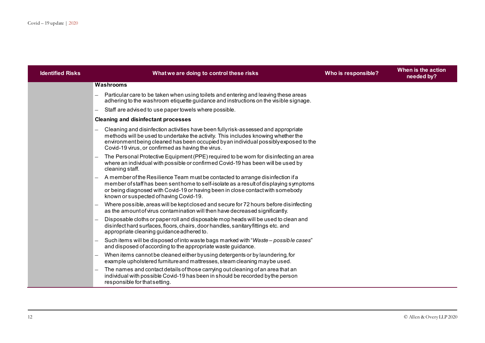| <b>Identified Risks</b> | What we are doing to control these risks                                                                                                                                                                                                                                                                            | Who is responsible? | When is the action<br>needed by? |
|-------------------------|---------------------------------------------------------------------------------------------------------------------------------------------------------------------------------------------------------------------------------------------------------------------------------------------------------------------|---------------------|----------------------------------|
|                         | Washrooms                                                                                                                                                                                                                                                                                                           |                     |                                  |
|                         | Particular care to be taken when using toilets and entering and leaving these areas<br>adhering to the washroom etiquette guidance and instructions on the visible signage.                                                                                                                                         |                     |                                  |
|                         | Staff are advised to use paper towels where possible.                                                                                                                                                                                                                                                               |                     |                                  |
|                         | <b>Cleaning and disinfectant processes</b>                                                                                                                                                                                                                                                                          |                     |                                  |
|                         | Cleaning and disinfection activities have been fullyrisk-assessed and appropriate<br>methods will be used to undertake the activity. This includes knowing whether the<br>environment being cleaned has been occupied by an individual possibly exposed to the<br>Covid-19 virus, or confirmed as having the virus. |                     |                                  |
|                         | The Personal Protective Equipment (PPE) required to be worn for disinfecting an area<br>where an individual with possible or confirmed Covid-19 has been will be used by<br>cleaning staff.                                                                                                                         |                     |                                  |
|                         | A member of the Resilience Team must be contacted to arrange disinfection if a<br>member of staff has been sent home to self-isolate as a result of displaying symptoms<br>or being diagnosed with Covid-19 or having been in close contact with somebody<br>known or suspected of having Covid-19.                 |                     |                                  |
|                         | Where possible, areas will be kept closed and secure for 72 hours before disinfecting<br>as the amount of virus contamination will then have decreased significantly.                                                                                                                                               |                     |                                  |
|                         | Disposable cloths or paper roll and disposable mop heads will be used to clean and<br>disinfect hard surfaces, floors, chairs, door handles, sanitary fittings etc. and<br>appropriate cleaning guidance adhered to.                                                                                                |                     |                                  |
|                         | Such items will be disposed of into waste bags marked with "Waste - possible cases"<br>and disposed of according to the appropriate waste guidance.                                                                                                                                                                 |                     |                                  |
|                         | When items cannot be cleaned either by using detergents or by laundering, for<br>example upholstered furniture and mattresses, steam cleaning maybe used.                                                                                                                                                           |                     |                                  |
|                         | The names and contact details of those carrying out cleaning of an area that an<br>individual with possible Covid-19 has been in should be recorded by the person<br>responsible for that setting.                                                                                                                  |                     |                                  |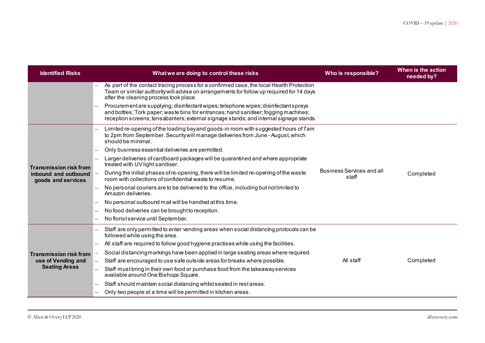| <b>Identified Risks</b>                                                     | What we are doing to control these risks                                                                                                                                                                                                                                | Who is responsible?                       | When is the action<br>needed by? |
|-----------------------------------------------------------------------------|-------------------------------------------------------------------------------------------------------------------------------------------------------------------------------------------------------------------------------------------------------------------------|-------------------------------------------|----------------------------------|
|                                                                             | As part of the contact tracing process for a confirmed case, the local Health Protection<br>Team or similar authority will advise on arrangements for follow up required for 14 days<br>after the cleaning process took place.                                          |                                           |                                  |
|                                                                             | Procurement are supplying; disinfectant wipes; telephone wipes; disinfectant sprays<br>and bottles; Tork paper; was te bins for entrances; hand sanitiser; fogging machines;<br>reception screens; tensabarriers; external signage stands; and internal signage stands. |                                           |                                  |
|                                                                             | Limited re-opening of the loading bayand goods-in room with suggested hours of 7am<br>to 2pm from September. Security will manage deliveries from June - August, which<br>should be minimal.                                                                            |                                           |                                  |
|                                                                             | Only business essential deliveries are permitted.                                                                                                                                                                                                                       |                                           |                                  |
| <b>Transmission risk from</b><br>inbound and outbound<br>goods and services | Larger deliveries of cardboard packages will be quarantined and where appropriate<br>treated with UV light sanitiser.                                                                                                                                                   |                                           |                                  |
|                                                                             | During the initial phases of re-opening, there will be limited re-opening of the waste<br>room with collections of confidential waste to resume.                                                                                                                        | <b>Business Services and all</b><br>staff | Completed                        |
|                                                                             | No personal couriers are to be delivered to the office, including but not limited to<br>Amazon deliveries.                                                                                                                                                              |                                           |                                  |
|                                                                             | No personal outbound mail will be handled at this time.                                                                                                                                                                                                                 |                                           |                                  |
|                                                                             | No food deliveries can be brought to reception.                                                                                                                                                                                                                         |                                           |                                  |
|                                                                             | No florist service until September.                                                                                                                                                                                                                                     |                                           |                                  |
|                                                                             | Staff are only permitted to enter vending areas when social distancing protocols can be<br>followed while using the area.                                                                                                                                               |                                           |                                  |
|                                                                             | All staff are required to follow good hygiene practises while using the facilities.                                                                                                                                                                                     |                                           |                                  |
| <b>Transmission risk from</b>                                               | Social distancing markings have been applied in large seating areas where required.                                                                                                                                                                                     |                                           |                                  |
| use of Vending and                                                          | Staff are encouraged to use safe outside areas for breaks where possible.                                                                                                                                                                                               | All staff                                 | Completed                        |
| <b>Seating Areas</b>                                                        | Staff must bring in their own food or purchase food from the takeaway services<br>$\overline{\phantom{0}}$<br>available around One Bishops Square.                                                                                                                      |                                           |                                  |
|                                                                             | Staff should maintain social distancing whilst seated in rest areas.                                                                                                                                                                                                    |                                           |                                  |
|                                                                             | Only two people at a time will be permitted in kitchen areas.                                                                                                                                                                                                           |                                           |                                  |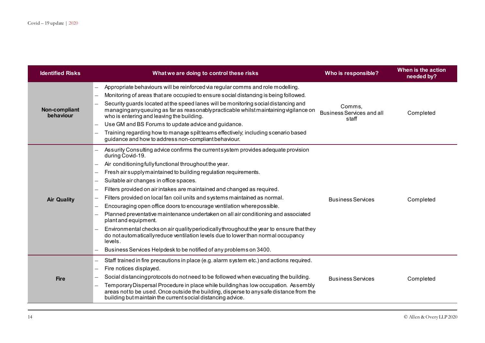| <b>Identified Risks</b>    | What we are doing to control these risks                                                                                                                                                                                                                                                                                                                                                                                                                                                                                                                                                                                                                                                                                                                                                                                                                                                          | Who is responsible?                                 | When is the action<br>needed by? |
|----------------------------|---------------------------------------------------------------------------------------------------------------------------------------------------------------------------------------------------------------------------------------------------------------------------------------------------------------------------------------------------------------------------------------------------------------------------------------------------------------------------------------------------------------------------------------------------------------------------------------------------------------------------------------------------------------------------------------------------------------------------------------------------------------------------------------------------------------------------------------------------------------------------------------------------|-----------------------------------------------------|----------------------------------|
| Non-compliant<br>behaviour | Appropriate behaviours will be reinforced via regular comms and role modelling.<br>Monitoring of areas that are occupied to ensure social distancing is being followed.<br>Security guards located at the speed lanes will be monitoring social distancing and<br>managing any queuing as far as reasonably practicable whilst maintaining vigilance on<br>who is entering and leaving the building.<br>Use GM and BS Forums to update advice and guidance.<br>Training regarding how to manage spilt teams effectively; including scenario based<br>guidance and how to address non-compliant behaviour.                                                                                                                                                                                                                                                                                         | Comms.<br><b>Business Services and all</b><br>staff | Completed                        |
| <b>Air Quality</b>         | Assurity Consulting advice confirms the current system provides adequate provision<br>during Covid-19.<br>Air conditioning fully functional throughout the year.<br>Fresh air supply maintained to building regulation requirements.<br>Suitable air changes in office spaces.<br>Filters provided on air intakes are maintained and changed as required.<br>Filters provided on local fan coil units and systems maintained as normal.<br>Encouraging open office doors to encourage ventilation where possible.<br>Planned preventative maintenance undertaken on all air conditioning and associated<br>plant and equipment.<br>Environmental checks on air quality periodically throughout the year to ensure that they<br>do not automatically reduce ventilation levels due to lower than normal occupancy<br>levels.<br>Business Services Helpdesk to be notified of any problems on 3400. | <b>Business Services</b>                            | Completed                        |
| <b>Fire</b>                | Staff trained in fire precautions in place (e.g. alarm system etc.) and actions required.<br>Fire notices displayed.<br>Social distancing protocols do not need to be followed when evacuating the building.<br>Temporary Dispersal Procedure in place while building has low occupation. Assembly<br>areas not to be used. Once outside the building, disperse to any safe distance from the<br>building but maintain the current social distancing advice.                                                                                                                                                                                                                                                                                                                                                                                                                                      | <b>Business Services</b>                            | Completed                        |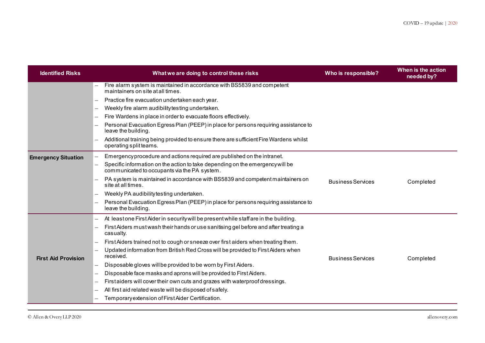| <b>Identified Risks</b>    | What we are doing to control these risks                                                                                      | Who is responsible?      | When is the action<br>needed by? |
|----------------------------|-------------------------------------------------------------------------------------------------------------------------------|--------------------------|----------------------------------|
|                            | Fire alarm system is maintained in accordance with BS5839 and competent<br>maintainers on site at all times.                  |                          |                                  |
|                            | Practice fire evacuation undertaken each year.                                                                                |                          |                                  |
|                            | Weekly fire alarm audibility testing undertaken.                                                                              |                          |                                  |
|                            | Fire Wardens in place in order to evacuate floors effectively.                                                                |                          |                                  |
|                            | Personal Evacuation Egress Plan (PEEP) in place for persons requiring assistance to<br>leave the building.                    |                          |                                  |
|                            | Additional training being provided to ensure there are sufficient Fire Wardens whilst<br>operating split teams.               |                          |                                  |
| <b>Emergency Situation</b> | Emergencyprocedure and actions required are published on the intranet.                                                        |                          |                                  |
|                            | Specific information on the action to take depending on the emergency will be<br>communicated to occupants via the PA system. |                          |                                  |
|                            | PA system is maintained in accordance with BS5839 and competent maintainers on<br>site at all times.                          | <b>Business Services</b> | Completed                        |
|                            | Weekly PA audibility testing undertaken.                                                                                      |                          |                                  |
|                            | Personal Evacuation Egress Plan (PEEP) in place for persons requiring assistance to<br>leave the building.                    |                          |                                  |
|                            | At least one First Aider in security will be present while staff are in the building.                                         |                          |                                  |
|                            | First Aiders must wash their hands or use sanitising gel before and after treating a<br>casualty.                             |                          |                                  |
|                            | First Aiders trained not to cough or sneeze over first aiders when treating them.                                             |                          |                                  |
| <b>First Aid Provision</b> | Updated information from British Red Cross will be provided to First Aiders when<br>received.                                 | <b>Business Services</b> | Completed                        |
|                            | Disposable gloves will be provided to be worn by First Aiders.                                                                |                          |                                  |
|                            | Disposable face masks and aprons will be provided to First Aiders.                                                            |                          |                                  |
|                            | Firstaiders will cover their own cuts and grazes with waterproof dressings.                                                   |                          |                                  |
|                            | All first aid related waste will be disposed of safely.                                                                       |                          |                                  |
|                            | Temporary extension of First Aider Certification.                                                                             |                          |                                  |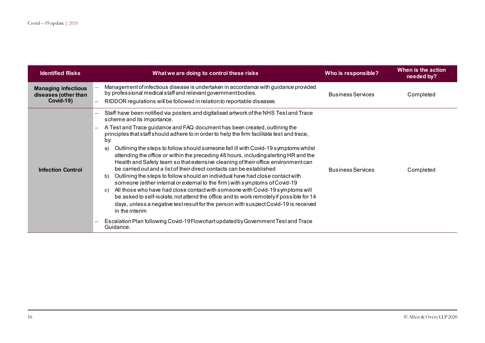| <b>Identified Risks</b>                                         | What we are doing to control these risks                                                                                                                                                                                                                                                                                                                                                                                                                                                                                                                                                                                                                                                                                                                                                                                                                                                                                                                                                                                                                                                                                                                                                                                         | Who is responsible?      | When is the action<br>needed by? |
|-----------------------------------------------------------------|----------------------------------------------------------------------------------------------------------------------------------------------------------------------------------------------------------------------------------------------------------------------------------------------------------------------------------------------------------------------------------------------------------------------------------------------------------------------------------------------------------------------------------------------------------------------------------------------------------------------------------------------------------------------------------------------------------------------------------------------------------------------------------------------------------------------------------------------------------------------------------------------------------------------------------------------------------------------------------------------------------------------------------------------------------------------------------------------------------------------------------------------------------------------------------------------------------------------------------|--------------------------|----------------------------------|
| <b>Managing infectious</b><br>diseases (other than<br>Covid-19) | Management of infectious disease is undertaken in accordance with guidance provided<br>by professional medical staff and relevant government bodies.<br>RIDDOR regulations will be followed in relation to reportable diseases.                                                                                                                                                                                                                                                                                                                                                                                                                                                                                                                                                                                                                                                                                                                                                                                                                                                                                                                                                                                                  | <b>Business Services</b> | Completed                        |
| <b>Infection Control</b>                                        | Staff have been notified via posters and digitalised artwork of the NHS Test and Trace<br>scheme and its importance.<br>A Test and Trace guidance and FAQ document has been created, outlining the<br>principles that staff should adhere to in order to help the firm facilitate test and trace,<br>by:<br>Outlining the steps to follow should someone fall ill with Covid-19 symptoms whilst<br>a)<br>attending the office or within the preceding 48 hours, including alerting HR and the<br>Health and Safety team so that extensive cleaning of their office environment can<br>be carried out and a list of their direct contacts can be established<br>Outlining the steps to follow should an individual have had close contact with<br>b)<br>someone (either internal or external to the firm) with symptoms of Covid-19<br>All those who have had close contact with someone with Covid-19 symptoms will<br>C)<br>be asked to self-isolate, not attend the office and to work remotely if possible for 14<br>days, unless a negative test result for the person with suspect Covid-19 is received<br>in the interim<br>Escalation Plan following Covid-19 Flowchart updated by Government Test and Trace<br>Guidance. | <b>Business Services</b> | Completed                        |